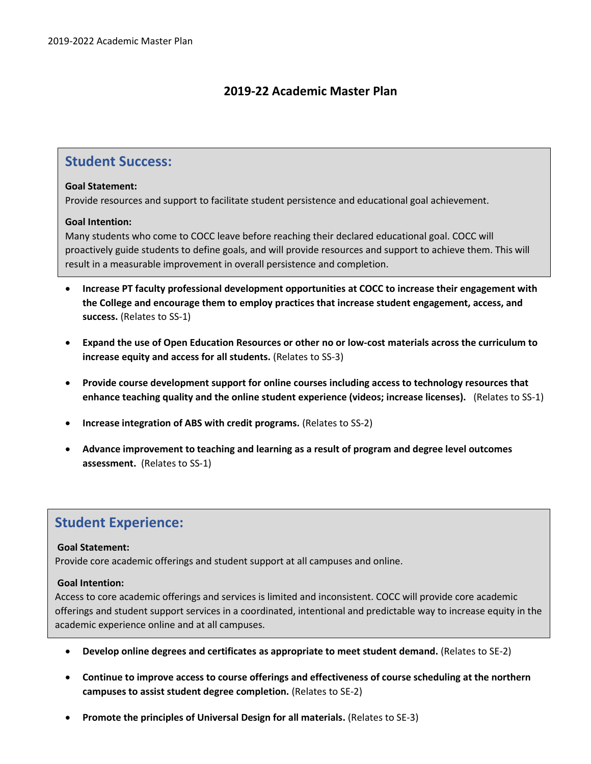## **2019-22 Academic Master Plan**

## **Student Success:**

## **Goal Statement:**

Provide resources and support to facilitate student persistence and educational goal achievement.

## **Goal Intention:**

Many students who come to COCC leave before reaching their declared educational goal. COCC will proactively guide students to define goals, and will provide resources and support to achieve them. This will result in a measurable improvement in overall persistence and completion.

- **Increase PT faculty professional development opportunities at COCC to increase their engagement with the College and encourage them to employ practices that increase student engagement, access, and success.** (Relates to SS-1)
- **Expand the use of Open Education Resources or other no or low-cost materials across the curriculum to increase equity and access for all students.** (Relates to SS-3)
- **Provide course development support for online courses including access to technology resources that enhance teaching quality and the online student experience (videos; increase licenses).** (Relates to SS-1)
- **Increase integration of ABS with credit programs.** (Relates to SS-2)
- **Advance improvement to teaching and learning as a result of program and degree level outcomes assessment.** (Relates to SS-1)

# **Student Experience:**

## **Goal Statement:**

Provide core academic offerings and student support at all campuses and online.

## **Goal Intention:**

Access to core academic offerings and services is limited and inconsistent. COCC will provide core academic offerings and student support services in a coordinated, intentional and predictable way to increase equity in the academic experience online and at all campuses.

- **Develop online degrees and certificates as appropriate to meet student demand.** (Relates to SE-2)
- **Continue to improve access to course offerings and effectiveness of course scheduling at the northern campuses to assist student degree completion.** (Relates to SE-2)
- **Promote the principles of Universal Design for all materials.** (Relates to SE-3)